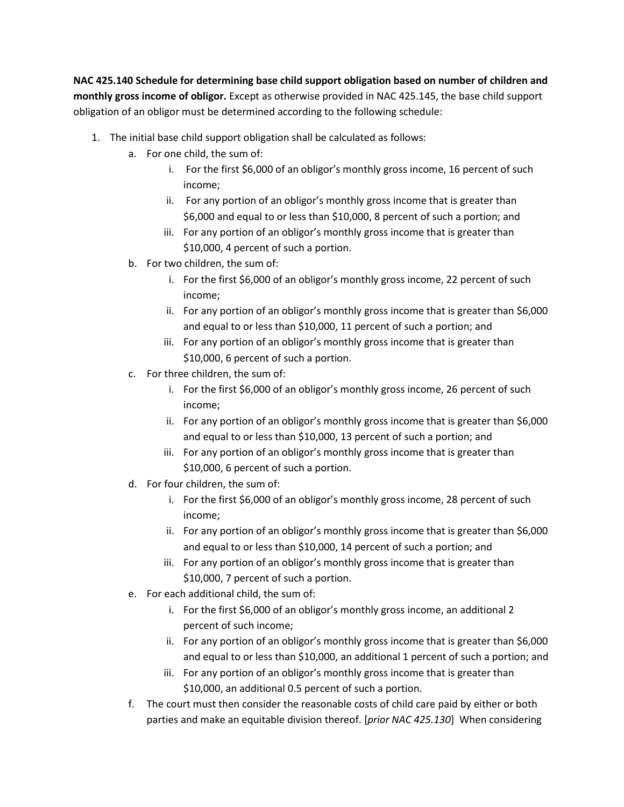**NAC 425.140 Schedule for determining base child support obligation based on number of children and monthly gross income of obligor.** Except as otherwise provided in NAC 425.145, the base child support obligation of an obligor must be determined according to the following schedule:

- 1. The initial base child support obligation shall be calculated as follows:
	- a. For one child, the sum of:
		- i. For the first \$6,000 of an obligor's monthly gross income, 16 percent of such income;
		- ii. For any portion of an obligor's monthly gross income that is greater than \$6,000 and equal to or less than \$10,000, 8 percent of such a portion; and
		- iii. For any portion of an obligor's monthly gross income that is greater than \$10,000, 4 percent of such a portion.
	- b. For two children, the sum of:
		- i. For the first \$6,000 of an obligor's monthly gross income, 22 percent of such income;
		- ii. For any portion of an obligor's monthly gross income that is greater than \$6,000 and equal to or less than \$10,000, 11 percent of such a portion; and
		- iii. For any portion of an obligor's monthly gross income that is greater than \$10,000, 6 percent of such a portion.
	- c. For three children, the sum of:
		- i. For the first \$6,000 of an obligor's monthly gross income, 26 percent of such income;
		- ii. For any portion of an obligor's monthly gross income that is greater than \$6,000 and equal to or less than \$10,000, 13 percent of such a portion; and
		- iii. For any portion of an obligor's monthly gross income that is greater than \$10,000, 6 percent of such a portion.
	- d. For four children, the sum of:
		- i. For the first \$6,000 of an obligor's monthly gross income, 28 percent of such income;
		- ii. For any portion of an obligor's monthly gross income that is greater than \$6,000 and equal to or less than \$10,000, 14 percent of such a portion; and
		- iii. For any portion of an obligor's monthly gross income that is greater than \$10,000, 7 percent of such a portion.
	- e. For each additional child, the sum of:
		- i. For the first \$6,000 of an obligor's monthly gross income, an additional 2 percent of such income;
		- ii. For any portion of an obligor's monthly gross income that is greater than \$6,000 and equal to or less than \$10,000, an additional 1 percent of such a portion; and
		- iii. For any portion of an obligor's monthly gross income that is greater than \$10,000, an additional 0.5 percent of such a portion.
	- f. The court must then consider the reasonable costs of child care paid by either or both parties and make an equitable division thereof. [*prior NAC 425.130*] When considering